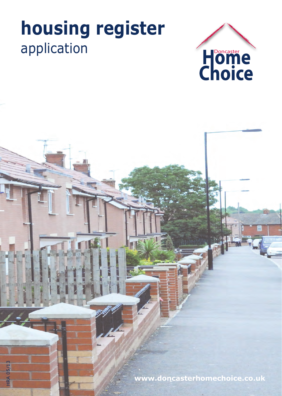# **housing register**

**HRA 05/13** HRA 05/13



**www.doncasterhomechoice.co.uk**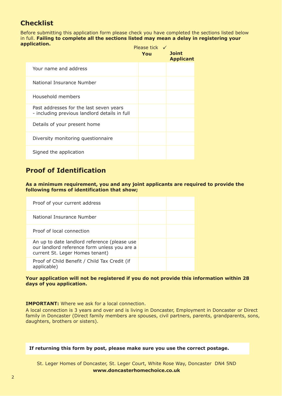# **Checklist**

Before submitting this application form please check you have completed the sections listed below in full. **Failing to complete all the sections listed may mean a delay in registering your application.**

|                                                                                          | Please tick $\checkmark$<br>You | <b>Joint</b><br><b>Applicant</b> |
|------------------------------------------------------------------------------------------|---------------------------------|----------------------------------|
| Your name and address                                                                    |                                 |                                  |
| National Insurance Number                                                                |                                 |                                  |
| Household members                                                                        |                                 |                                  |
| Past addresses for the last seven years<br>- including previous landlord details in full |                                 |                                  |
| Details of your present home                                                             |                                 |                                  |
| Diversity monitoring questionnaire                                                       |                                 |                                  |
| Signed the application                                                                   |                                 |                                  |

## **Proof of Identification**

**As a minimum requirement, you and any joint applicants are required to provide the following forms of identification that show;**

| Proof of your current address                                                                                                   |  |
|---------------------------------------------------------------------------------------------------------------------------------|--|
| National Insurance Number                                                                                                       |  |
| Proof of local connection                                                                                                       |  |
| An up to date landlord reference (please use<br>our landlord reference form unless you are a<br>current St. Leger Homes tenant) |  |
| Proof of Child Benefit / Child Tax Credit (if<br>applicable)                                                                    |  |

#### **Your application will not be registered if you do not provide this information within 28 days of you application.**

**IMPORTANT:** Where we ask for a local connection.

A local connection is 3 years and over and is living in Doncaster, Employment in Doncaster or Direct family in Doncaster (Direct family members are spouses, civil partners, parents, grandparents, sons, daughters, brothers or sisters).

**If returning this form by post, please make sure you use the correct postage.** 

St. Leger Homes of Doncaster, St. Leger Court, White Rose Way, Doncaster DN4 5ND **www.doncasterhomechoice.co.uk**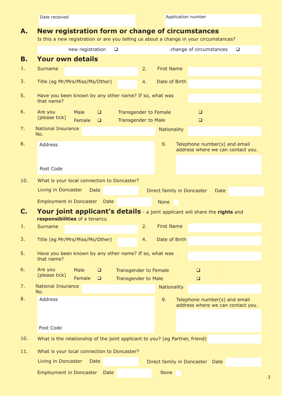# **A. New registration form or change of circumstances**

Is this a new registration or are you telling us about a change in your circumstances?

|           | new registration<br>❏                                                                                                        | change of circumstances<br>❏                                             |
|-----------|------------------------------------------------------------------------------------------------------------------------------|--------------------------------------------------------------------------|
| <b>B.</b> | <b>Your own details</b>                                                                                                      |                                                                          |
| 1.        | <b>Surname</b>                                                                                                               | <b>First Name</b><br>2.                                                  |
| 3.        | Title (eg Mr/Mrs/Miss/Ms/Other)                                                                                              | Date of Birth<br>4.                                                      |
| 5.        | Have you been known by any other name? If so, what was<br>that name?                                                         |                                                                          |
| 6.        | Are you<br>Male<br>$\Box$<br>(please tick)<br>Female<br><b>Transgender to Male</b><br>$\Box$                                 | <b>Transgender to Female</b><br>$\Box$<br>$\Box$                         |
| 7.        | <b>National Insurance</b><br>No.                                                                                             | <b>Nationality</b>                                                       |
| 8.        | Address                                                                                                                      | Telephone number(s) and email<br>9.<br>address where we can contact you. |
|           | Post Code                                                                                                                    |                                                                          |
| 10.       | What is your local connection to Doncaster?                                                                                  |                                                                          |
|           | Living in Doncaster<br><b>Date</b>                                                                                           | Direct family in Doncaster<br>Date                                       |
|           | Employment in Doncaster Date                                                                                                 | <b>None</b>                                                              |
| C.        | Your joint applicant's details - a joint applicant will share the rights and                                                 |                                                                          |
|           | responsibilities of a tenancy.                                                                                               |                                                                          |
| 1.        | <b>Surname</b>                                                                                                               | <b>First Name</b><br>2.                                                  |
| 3.        | Title (eg Mr/Mrs/Miss/Ms/Other)                                                                                              | Date of Birth<br>4.                                                      |
| 5.        | Have you been known by any other name? If so, what was<br>that name?                                                         |                                                                          |
| 6.        | Are you<br>Male<br>$\Box$<br><b>Transgender to Female</b><br>(please tick)<br>Female<br>$\Box$<br><b>Transgender to Male</b> | $\Box$<br>$\Box$                                                         |
| 7.        | <b>National Insurance</b>                                                                                                    | <b>Nationality</b>                                                       |
| 8.        | No.<br>Address                                                                                                               | Telephone number(s) and email<br>9.<br>address where we can contact you. |
|           |                                                                                                                              |                                                                          |
|           | Post Code                                                                                                                    |                                                                          |
| 10.       | What is the relationship of the joint applicant to you? (eg Partner, friend)                                                 |                                                                          |
| 11.       | What is your local connection to Doncaster?                                                                                  |                                                                          |
|           | Living in Doncaster<br>Date                                                                                                  | Direct family in Doncaster<br>Date                                       |
|           | <b>Employment in Doncaster</b><br><b>Date</b>                                                                                | <b>None</b>                                                              |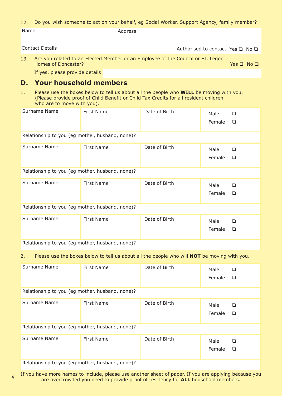#### 12. Do you wish someone to act on your behalf, eg Social Worker, Support Agency, family member?

Name Address

Contact Details  $\Box$  No  $\Box$ 

Are you related to an Elected Member or an Employee of the Council or St. Leger Homes of Doncaster? 13. Yes  $\Box$  No  $\Box$ 

If yes, please provide details

## **D. Your household members**

1. Please use the boxes below to tell us about all the people who **WILL** be moving with you. (Please provide proof of Child Benefit or Child Tax Credits for all resident children who are to move with you).

| Surname Name                                    | <b>First Name</b> | Date of Birth | Male<br>Female | □<br>$\Box$      |
|-------------------------------------------------|-------------------|---------------|----------------|------------------|
| Relationship to you (eg mother, husband, none)? |                   |               |                |                  |
| Surname Name                                    | <b>First Name</b> | Date of Birth | Male<br>Female | $\Box$<br>$\Box$ |
| Relationship to you (eg mother, husband, none)? |                   |               |                |                  |
| Surname Name                                    | <b>First Name</b> | Date of Birth | Male<br>Female | □<br>$\Box$      |
| Relationship to you (eg mother, husband, none)? |                   |               |                |                  |
| Surname Name                                    | <b>First Name</b> | Date of Birth | Male<br>Female | $\Box$<br>$\Box$ |
| Relationship to you (eg mother, husband, none)? |                   |               |                |                  |

2. Please use the boxes below to tell us about all the people who will **NOT** be moving with you.

| Surname Name                                    | First Name                                      | Date of Birth | Male<br>Female | ❏<br>$\Box$ |  |
|-------------------------------------------------|-------------------------------------------------|---------------|----------------|-------------|--|
| Relationship to you (eg mother, husband, none)? |                                                 |               |                |             |  |
| Surname Name                                    | First Name                                      | Date of Birth | Male<br>Female | ❏<br>$\Box$ |  |
|                                                 | Relationship to you (eg mother, husband, none)? |               |                |             |  |
| Surname Name                                    | <b>First Name</b>                               | Date of Birth | Male<br>Female | ❏<br>❏      |  |
| Relationship to you (eg mother, husband, none)? |                                                 |               |                |             |  |

If you have more names to include, please use another sheet of paper. If you are applying because you are overcrowded you need to provide proof of residency for **ALL** household members.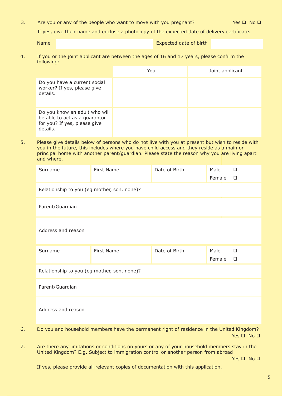3. Are you or any of the people who want to move with you pregnant? Yes  $\square$  No  $\square$ 

If yes, give their name and enclose a photocopy of the expected date of delivery certificate.

Name Name Expected date of birth

4. If you or the joint applicant are between the ages of 16 and 17 years, please confirm the following:

|                                                                                                            | You | Joint applicant |
|------------------------------------------------------------------------------------------------------------|-----|-----------------|
| Do you have a current social<br>worker? If yes, please give<br>details.                                    |     |                 |
| Do you know an adult who will<br>be able to act as a guarantor<br>for you? If yes, please give<br>details. |     |                 |

5. Please give details below of persons who do not live with you at present but wish to reside with you in the future, this includes where you have child access and they reside as a main or principal home with another parent/guardian. Please state the reason why you are living apart and where.

|    | Surname                                     | First Name                                                                                    | Date of Birth | Male<br>Female | $\Box$<br>$\Box$           |
|----|---------------------------------------------|-----------------------------------------------------------------------------------------------|---------------|----------------|----------------------------|
|    | Relationship to you (eg mother, son, none)? |                                                                                               |               |                |                            |
|    | Parent/Guardian                             |                                                                                               |               |                |                            |
|    | Address and reason                          |                                                                                               |               |                |                            |
|    | Surname                                     | First Name                                                                                    | Date of Birth | Male<br>Female | $\Box$<br>$\Box$           |
|    | Relationship to you (eg mother, son, none)? |                                                                                               |               |                |                            |
|    | Parent/Guardian                             |                                                                                               |               |                |                            |
|    | Address and reason                          |                                                                                               |               |                |                            |
| 6. |                                             | Do you and household members have the permanent right of residence in the United Kingdom?     |               |                | Yes $\square$ No $\square$ |
|    |                                             | Are there any limitations or sonditions on vours or any of your household mombers stay in the |               |                |                            |

7. Are there any limitations or conditions on yours or any of your household members stay in the United Kingdom? E.g. Subject to immigration control or another person from abroad

Yes  $\Box$  No  $\Box$ 

If yes, please provide all relevant copies of documentation with this application.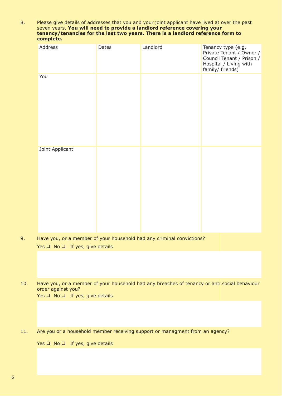8. Please give details of addresses that you and your joint applicant have lived at over the past seven years. **You will need to provide a landlord reference covering your tenancy/tenancies for the last two years. There is a landlord reference form to complete.**

|     | complete:                                                                    |       |                                                                                              |                                                                                                                           |  |
|-----|------------------------------------------------------------------------------|-------|----------------------------------------------------------------------------------------------|---------------------------------------------------------------------------------------------------------------------------|--|
|     | Address                                                                      | Dates | Landlord                                                                                     | Tenancy type (e.g.<br>Private Tenant / Owner /<br>Council Tenant / Prison /<br>Hospital / Living with<br>family/ friends) |  |
|     | You                                                                          |       |                                                                                              |                                                                                                                           |  |
|     | Joint Applicant                                                              |       |                                                                                              |                                                                                                                           |  |
| 9.  | Yes $\Box$ No $\Box$ If yes, give details                                    |       | Have you, or a member of your household had any criminal convictions?                        |                                                                                                                           |  |
|     |                                                                              |       |                                                                                              |                                                                                                                           |  |
| 10. | order against you?<br>Yes $\square$ No $\square$ If yes, give details        |       | Have you, or a member of your household had any breaches of tenancy or anti social behaviour |                                                                                                                           |  |
|     |                                                                              |       |                                                                                              |                                                                                                                           |  |
| 11. | Are you or a household member receiving support or managment from an agency? |       |                                                                                              |                                                                                                                           |  |
|     | Yes $\square$ No $\square$ If yes, give details                              |       |                                                                                              |                                                                                                                           |  |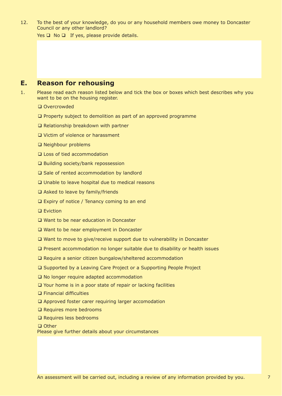12. To the best of your knowledge, do you or any household members owe money to Doncaster Council or any other landlord?

Yes  $\Box$  No  $\Box$  If yes, please provide details.

## **E. Reason for rehousing**

- 1. Please read each reason listed below and tick the box or boxes which best describes why you want to be on the housing register.
	- □ Overcrowded
	- $\square$  Property subject to demolition as part of an approved programme
	- $\Box$  Relationship breakdown with partner
	- □ Victim of violence or harassment
	- Neighbour problems
	- □ Loss of tied accommodation
	- $\square$  Building society/bank repossession
	- $\square$  Sale of rented accommodation by landlord
	- □ Unable to leave hospital due to medical reasons
	- $\Box$  Asked to leave by family/friends
	- □ Expiry of notice / Tenancy coming to an end
	- □ Eviction
	- □ Want to be near education in Doncaster
	- □ Want to be near employment in Doncaster
	- □ Want to move to give/receive support due to vulnerability in Doncaster
	- Present accommodation no longer suitable due to disability or health issues
	- $\square$  Require a senior citizen bungalow/sheltered accommodation
	- □ Supported by a Leaving Care Project or a Supporting People Project
	- □ No longer require adapted accommodation
	- □ Your home is in a poor state of repair or lacking facilities
	- Financial difficulties
	- Approved foster carer requiring larger accomodation
	- **□ Requires more bedrooms**
	- **□ Requires less bedrooms**

□ Other

Please give further details about your circumstances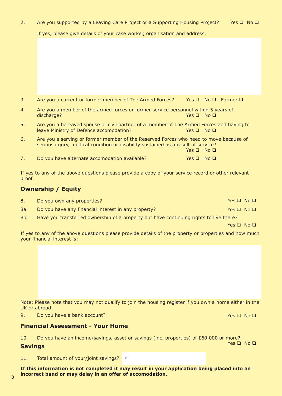8

| If this information is not completed it may result in your application being placed into an |  |  |  |  |  |
|---------------------------------------------------------------------------------------------|--|--|--|--|--|
| incorrect band or may delay in an offer of accomodation.                                    |  |  |  |  |  |
|                                                                                             |  |  |  |  |  |
|                                                                                             |  |  |  |  |  |

#### UK or abroad. 9. Do you have a bank account? Yes □ No □

# **Financial Assessment - Your Home**

10. Do you have an income/savings, asset or savings (inc. properties) of £60,000 or more?

Note: Please note that you may not qualify to join the housing register if you own a home either in the

# the state of the state of the state of the state of the state of the state of the state of the state of the state of the state of the state of the state of the state of the state of the state of the state of the state of

11. Total amount of your/joint savings? E

# **Ownership / Equity**

8. Do you own any properties? A set of the set of the set of the set of the set of the SNO D 8a. Do you have any financial interest in any property?  $Yes \Box No \Box$ 

8b. Have you transferred ownership of a property but have continuing rights to live there?

Yes  $\Box$  No  $\Box$ 

If yes to any of the above questions please provide details of the property or properties and how much your financial interest is:

- 3. Are you a current or former member of The Armed Forces? Yes  $\Box$  No  $\Box$  Former  $\Box$
- 4. Are you a member of the armed forces or former service personnel within 5 years of discharge?  $\blacksquare$  No  $\blacksquare$  No  $\blacksquare$  No  $\blacksquare$
- 5. Are you a bereaved spouse or civil partner of a member of The Armed Forces and having to leave Ministry of Defence accomodation?  $Yes \Box \ No \Box$
- 6. Are you a serving or former member of the Reserved Forces who need to move because of serious injury, medical condition or disability sustained as a result of service?  $Yes \Box No \Box$

7. Do you have alternate accomodation available?  $Y^2$  Yes  $\Box$  No  $\Box$ 

If yes to any of the above questions please provide a copy of your service record or other relevant proof.

## 2. Are you supported by a Leaving Care Project or a Supporting Housing Project? Yes  $\Box$  No  $\Box$

If yes, please give details of your case worker, organisation and address.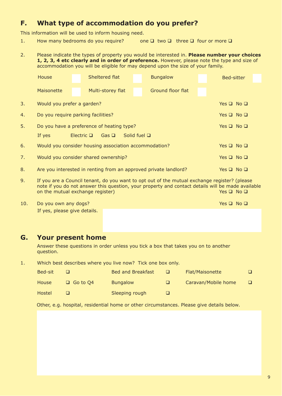## **F. What type of accommodation do you prefer?**

This information will be used to inform housing need.

- 1. How many bedrooms do you require? one  $\Box$  two  $\Box$  three  $\Box$  four or more  $\Box$
- 2. Please indicate the types of property you would be interested in. **Please number your choices 1, 2, 3, 4 etc clearly and in order of preference.** However, please note the type and size of accommodation you will be eligible for may depend upon the size of your family.

|              | House                                                                                        | Sheltered flat                            | <b>Bungalow</b>   | Bed-sitter           |  |  |
|--------------|----------------------------------------------------------------------------------------------|-------------------------------------------|-------------------|----------------------|--|--|
|              | <b>Maisonette</b>                                                                            | Multi-storey flat                         | Ground floor flat |                      |  |  |
| 3.           | Would you prefer a garden?                                                                   |                                           |                   | Yes $\Box$ No $\Box$ |  |  |
| 4.           | Do you require parking facilities?<br>Yes $\square$ No $\square$                             |                                           |                   |                      |  |  |
| 5.           |                                                                                              | Do you have a preference of heating type? |                   | Yes $\Box$ No $\Box$ |  |  |
|              | Solid fuel $\square$<br>If yes<br>Electric $\Box$<br>Gas $\Box$                              |                                           |                   |                      |  |  |
| 6.           | Would you consider housing association accommodation?<br>Yes $\Box$ No $\Box$                |                                           |                   |                      |  |  |
| 7.           | Would you consider shared ownership?<br>Yes $\square$ No $\square$                           |                                           |                   |                      |  |  |
| 8.           | Are you interested in renting from an approved private landlord?<br>Yes $\Box$ No $\Box$     |                                           |                   |                      |  |  |
| $\mathsf{Q}$ | If you are a Council tenant, do you want to ont out of the mutual exchange register? (please |                                           |                   |                      |  |  |

- 9. If you are a Council tenant, do you want to opt out of the mutual exchange register? (please note if you do not answer this question, your property and contact details will be made available on the mutual exchange register)  $\Box$  Yes  $\Box$  No  $\Box$
- 10. Do you own any dogs? The state of the state of the state of the state of the SNO D If yes, please give details.

## **G. Your present home**

Answer these questions in order unless you tick a box that takes you on to another question.

1. Which best describes where you live now? Tick one box only.

| Bed-sit      |                 | <b>Bed and Breakfast</b> |   | Flat/Maisonette     |  |
|--------------|-----------------|--------------------------|---|---------------------|--|
| <b>House</b> | $\Box$ Go to Q4 | <b>Bungalow</b>          | ப | Caravan/Mobile home |  |
| Hostel       |                 | Sleeping rough           |   |                     |  |

Other, e.g. hospital, residential home or other circumstances. Please give details below.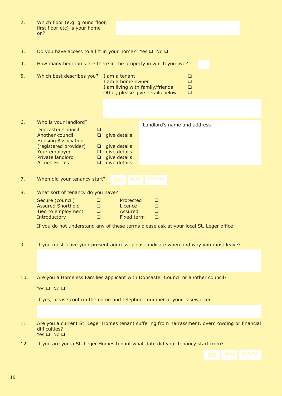| 2. | Which floor (e.g. ground floor,<br>first floor etc) is your home<br>on?                                                                                                                                           |                                                                                                                                                   |  |  |
|----|-------------------------------------------------------------------------------------------------------------------------------------------------------------------------------------------------------------------|---------------------------------------------------------------------------------------------------------------------------------------------------|--|--|
| 3. | Do you have access to a lift in your home? Yes $\square$ No $\square$                                                                                                                                             |                                                                                                                                                   |  |  |
| 4. |                                                                                                                                                                                                                   | How many bedrooms are there in the property in which you live?                                                                                    |  |  |
| 5. | Which best describes you?                                                                                                                                                                                         | I am a tenant<br>$\Box$<br>I am a home owner<br>$\Box$<br>I am living with family/friends<br>$\Box$<br>Other, please give details below<br>$\Box$ |  |  |
|    |                                                                                                                                                                                                                   |                                                                                                                                                   |  |  |
| 6. | Who is your landlord?<br><b>Doncaster Council</b><br>$\Box$<br>Another council<br>$\Box$<br><b>Housing Association</b><br>(registered provider)<br>Your employer<br>Private landlord<br><b>Armed Forces</b><br>O. | Landlord's name and address<br>give details<br>$\Box$ give details<br>$\Box$ give details<br>$\Box$ give details<br>give details                  |  |  |
| 7. | When did your tenancy start?                                                                                                                                                                                      | <b>MM</b><br><b>YYYY</b><br><b>DD</b>                                                                                                             |  |  |
| 8. | What sort of tenancy do you have?                                                                                                                                                                                 |                                                                                                                                                   |  |  |
|    | Secure (council)<br>$\Box$<br><b>Assured Shorthold</b><br>$\Box$<br>Tied to employment<br>$\Box$<br>Introductory<br>$\Box$                                                                                        | Protected<br>$\Box$<br>Licence<br>$\Box$<br>Assured<br>$\Box$<br><b>Fixed term</b><br>$\Box$                                                      |  |  |
|    |                                                                                                                                                                                                                   | If you do not understand any of these terms please ask at your local St. Leger office                                                             |  |  |
| 9. |                                                                                                                                                                                                                   | If you must leave your present address, please indicate when and why you must leave?                                                              |  |  |
|    |                                                                                                                                                                                                                   |                                                                                                                                                   |  |  |

10. Are you a Homeless Families applicant with Doncaster Council or another council?

Yes  $\Box$  No  $\Box$ 

If yes, please confirm the name and telephone number of your caseworker.

- 11. Are you a current St. Leger Homes tenant suffering from harrassment, overcrowding or financial difficulties? Yes **Q** No Q
- 12. If you are you a St. Leger Homes tenant what date did your tenancy start from?

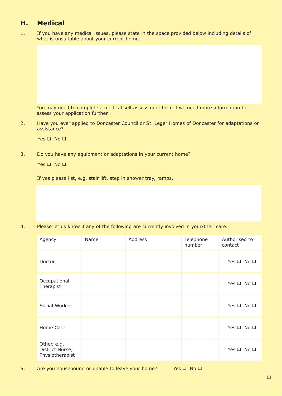# **H. Medical**

1. If you have any medical issues, please state in the space provided below including details of what is unsuitable about your current home.

You may need to complete a medical self assessment form if we need more information to assess your application further.

2. Have you ever applied to Doncaster Council or St. Leger Homes of Doncaster for adaptations or assistance?

Yes  $\Box$  No  $\Box$ 

3. Do you have any equipment or adaptations in your current home?

Yes  $\Box$  No  $\Box$ 

If yes please list, e.g. stair lift, step in shower tray, ramps.

4. Please let us know if any of the following are currently involved in your/their care.

| Agency                                            | Name | Address | Telephone<br>number | Authorised to<br>contact   |
|---------------------------------------------------|------|---------|---------------------|----------------------------|
| Doctor                                            |      |         |                     | Yes $\square$ No $\square$ |
| Occupational<br>Therapist                         |      |         |                     | Yes $\square$ No $\square$ |
| Social Worker                                     |      |         |                     | Yes $\square$ No $\square$ |
| Home Care                                         |      |         |                     | Yes $\square$ No $\square$ |
| Other, e.g.<br>District Nurse,<br>Physiotherapist |      |         |                     | Yes $\square$ No $\square$ |

5. Are you housebound or unable to leave your home? Yes  $\square$  No  $\square$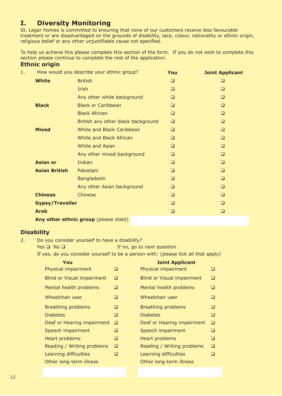# **I. Diversity Monitoring**

St. Leger Homes is committed to ensuring that none of our customers receive less favourable treatment or are disadvantaged on the grounds of disability, race, colour, nationality or ethnic origin, religious belief or any other unjustifiable cause not specified.

To help us achieve this please complete this section of the form. If you do not wish to complete this section please continue to complete the rest of the application.

#### **Ethnic origin**

| 1. |                        | How would you describe your ethnic group? | You    | <b>Joint Applicant</b> |
|----|------------------------|-------------------------------------------|--------|------------------------|
|    | <b>White</b>           | <b>British</b>                            | ❏      | ❏                      |
|    |                        | Irish                                     | $\Box$ | ❏                      |
|    |                        | Any other white background                | $\Box$ | $\Box$                 |
|    | <b>Black</b>           | <b>Black or Caribbean</b>                 | □      | $\Box$                 |
|    |                        | <b>Black African</b>                      | □      | $\Box$                 |
|    |                        | British any other black background        | □      | $\Box$                 |
|    | <b>Mixed</b>           | White and Black Caribbean                 | □      | $\Box$                 |
|    |                        | White and Black African                   | □      | $\Box$                 |
|    |                        | <b>White and Asian</b>                    | $\Box$ | $\Box$                 |
|    |                        | Any other mixed background                | $\Box$ | $\Box$                 |
|    | <b>Asian or</b>        | Indian                                    | $\Box$ | $\Box$                 |
|    | <b>Asian British</b>   | Pakistani                                 | $\Box$ | $\Box$                 |
|    |                        | Bangladeshi                               | $\Box$ | $\Box$                 |
|    |                        | Any other Asian background                | $\Box$ | $\Box$                 |
|    | <b>Chinese</b>         | Chinese                                   | $\Box$ | $\Box$                 |
|    | <b>Gypsy/Traveller</b> |                                           | $\Box$ | $\Box$                 |
|    | <b>Arab</b>            |                                           | $\Box$ | $\Box$                 |
|    |                        | Any other ethnic group (please state)     |        |                        |

## **Disability**

2. Do you consider yourself to have a disability?

If no, go to next question Yes  $\square$  No  $\square$ 

If yes, do you consider yourself to be a person with: (please tick all that apply)

|   | <b>Joint Applicant</b>            |   |
|---|-----------------------------------|---|
| ❏ | Physical impairment               | ⊔ |
| ❏ | <b>Blind or Visual impairment</b> | ⊓ |
| ❏ | Mental health problems            | □ |
| ◻ | Wheelchair user                   |   |
| ❏ | <b>Breathing problems</b>         | ◻ |
| ❏ | <b>Diabetes</b>                   | ⊔ |
| □ | Deaf or Hearing impairment        | □ |
| ❏ | Speech impairment                 | ⊔ |
| ❏ | Heart problems                    | ❏ |
| ❏ | Reading / Writing problems        | □ |
| ◻ | Learning difficulties             |   |
|   | Other long-term illness           |   |
|   |                                   |   |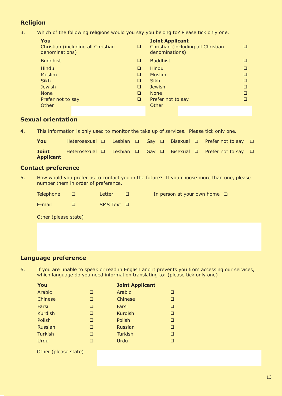## **Religion**

3. Which of the following religions would you say you belong to? Please tick only one.

| You<br>denominations) | Christian (including all Christian | ⊔ | <b>Joint Applicant</b><br>denominations) | Christian (including all Christian |  |
|-----------------------|------------------------------------|---|------------------------------------------|------------------------------------|--|
| <b>Buddhist</b>       |                                    | ш | <b>Buddhist</b>                          |                                    |  |
| Hindu                 |                                    | ⊔ | Hindu                                    |                                    |  |
| <b>Muslim</b>         |                                    | ⊔ | <b>Muslim</b>                            |                                    |  |
| <b>Sikh</b>           |                                    | ⊔ | <b>Sikh</b>                              |                                    |  |
| <b>Jewish</b>         |                                    | ⊔ | <b>Jewish</b>                            |                                    |  |
| <b>None</b>           |                                    | □ | <b>None</b>                              |                                    |  |
| Prefer not to say     |                                    | □ | Prefer not to say                        |                                    |  |
| Other                 |                                    |   | Other                                    |                                    |  |

### **Sexual orientation**

4. This information is only used to monitor the take up of services. Please tick only one.

| You                              |  |  |  | Heterosexual $\Box$ Lesbian $\Box$ Gay $\Box$ Bisexual $\Box$ Prefer not to say $\Box$ |  |
|----------------------------------|--|--|--|----------------------------------------------------------------------------------------|--|
| <b>Joint</b><br><b>Applicant</b> |  |  |  | Heterosexual $\Box$ Lesbian $\Box$ Gay $\Box$ Bisexual $\Box$ Prefer not to say $\Box$ |  |

#### **Contact preference**

5. How would you prefer us to contact you in the future? If you choose more than one, please number them in order of preference.

| <b>Telephone</b> |   | Letter            |  |
|------------------|---|-------------------|--|
| E-mail           | П | $SMS$ Text $\Box$ |  |

In person at your own home  $\Box$ 

Other (please state)

#### **Language preference**

6. If you are unable to speak or read in English and it prevents you from accessing our services, which language do you need information translating to: (please tick only one)

| You            |   | <b>Joint Applicant</b> |        |
|----------------|---|------------------------|--------|
| Arabic         | ◻ | Arabic                 | ⊔      |
| Chinese        | ❏ | Chinese                | □      |
| Farsi          | ❏ | Farsi                  | ❏      |
| <b>Kurdish</b> | ❏ | <b>Kurdish</b>         | ❏      |
| Polish         | ❏ | Polish                 | □      |
| Russian        | ❏ | <b>Russian</b>         | ❏      |
| <b>Turkish</b> | ❏ | <b>Turkish</b>         | ❏      |
| Urdu           | ┒ | Urdu                   | $\Box$ |
|                |   |                        |        |

Other (please state)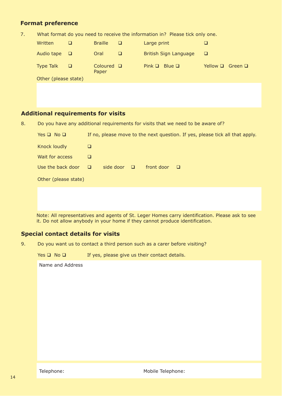#### **Format preference**

7. What format do you need to receive the information in? Please tick only one.

| Written              |   | <b>Braille</b>           | □ | Large print                    |                            |
|----------------------|---|--------------------------|---|--------------------------------|----------------------------|
| Audio tape           | o | Oral                     | ◻ | British Sign Language          | ⊔                          |
| <b>Type Talk</b>     | □ | Coloured $\Box$<br>Paper |   | Pink $\Box$<br>– Blue <b>□</b> | Yellow $\Box$ Green $\Box$ |
| Other (please state) |   |                          |   |                                |                            |

## **Additional requirements for visits**

8. Do you have any additional requirements for visits that we need to be aware of?

| Yes $\Box$ No $\Box$ | If no, please move to the next question. If yes, please tick all that apply. |
|----------------------|------------------------------------------------------------------------------|
| Knock loudly         | ⊔                                                                            |
| Wait for access      | ⊔                                                                            |
| Use the back door    | side door<br>front door<br>$\Box$<br>$\Box$<br>$\Box$                        |
| Other (please state) |                                                                              |
|                      |                                                                              |

Note: All representatives and agents of St. Leger Homes carry identification. Please ask to see it. Do not allow anybody in your home if they cannot produce identification.

#### **Special contact details for visits**

9. Do you want us to contact a third person such as a carer before visiting?

Yes  $\Box$  No  $\Box$  If yes, please give us their contact details.

Name and Address

Telephone: Mobile Telephone: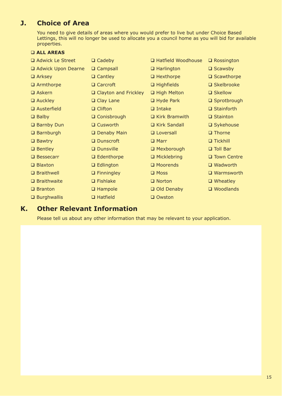# **J. Choice of Area**

You need to give details of areas where you would prefer to live but under Choice Based Lettings, this will no longer be used to allocate you a council home as you will bid for available properties.

#### **ALL AREAS**

| $\Box$ Cadeby               | □ Hatfield Woodhouse | $\Box$ Rossington    |
|-----------------------------|----------------------|----------------------|
| □ Campsall                  | $\Box$ Harlington    | $\square$ Scawsby    |
| $\Box$ Cantley              | $\Box$ Hexthorpe     | $\square$ Scawthorpe |
| □ Carcroft                  | $\Box$ Highfields    | $\square$ Skelbrooke |
| $\Box$ Clayton and Frickley | High Melton          | □ Skellow            |
| $\Box$ Clay Lane            | $\Box$ Hyde Park     | □ Sprotbrough        |
| $\Box$ Clifton              | $\Box$ Intake        | $\Box$ Stainforth    |
| □ Conisbrough               | $\Box$ Kirk Bramwith | $\Box$ Stainton      |
| □ Cusworth                  | □ Kirk Sandall       | □ Sykehouse          |
| □ Denaby Main               | □ Loversall          | $\Box$ Thorne        |
| □ Dunscroft                 | $\Box$ Marr          | $\Box$ Tickhill      |
| <b>Q</b> Dunsville          | □ Mexborough         | □ Toll Bar           |
| $\Box$ Edenthorpe           | $\Box$ Micklebring   | □ Town Centre        |
| $\Box$ Edlington            | □ Moorends           | $\Box$ Wadworth      |
| $\Box$ Finningley           | $\Box$ Moss          | $\Box$ Warmsworth    |
| $\Box$ Fishlake             | $\Box$ Norton        | $\Box$ Wheatley      |
| $\Box$ Hampole              | Old Denaby           | $\square$ Woodlands  |
| $\Box$ Hatfield             | □ Owston             |                      |
|                             |                      |                      |

## **K. Other Relevant Information**

Please tell us about any other information that may be relevant to your application.